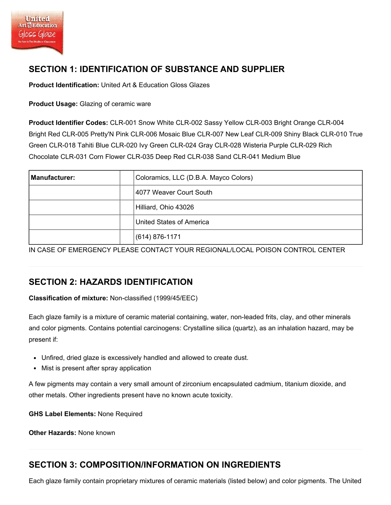# SECTION 1: IDENTIFICATION OF SUBSTANCE AND SUPPLIER

Product Identification: United Art & Education Gloss Glazes

Product Usage: Glazing of ceramic ware

Product Identifier Codes: CLR-001 Snow White CLR-002 Sassy Yellow CLR-003 Bright Orange CLR-004 Bright Red CLR-005 Pretty'N Pink CLR-006 Mosaic Blue CLR-007 New Leaf CLR-009 Shiny Black CLR-010 True Green CLR-018 Tahiti Blue CLR-020 Ivy Green CLR-024 Gray CLR-028 Wisteria Purple CLR-029 Rich Chocolate CLR-031 Corn Flower CLR-035 Deep Red CLR-038 Sand CLR-041 Medium Blue

| <b>Manufacturer:</b> | Coloramics, LLC (D.B.A. Mayco Colors) |
|----------------------|---------------------------------------|
|                      | 4077 Weaver Court South               |
|                      | Hilliard, Ohio 43026                  |
|                      | United States of America              |
|                      | $(614) 876 - 1171$                    |

IN CASE OF EMERGENCY PLEASE CONTACT YOUR REGIONAL/LOCAL POISON CONTROL CENTER

# SECTION 2: HAZARDS IDENTIFICATION

Classification of mixture: Non-classified (1999/45/EEC)

Each glaze family is a mixture of ceramic material containing, water, non-leaded frits, clay, and other minerals and color pigments. Contains potential carcinogens: Crystalline silica (quartz), as an inhalation hazard, may be present if:

- Unfired, dried glaze is excessively handled and allowed to create dust.
- Mist is present after spray application

A few pigments may contain a very small amount of zirconium encapsulated cadmium, titanium dioxide, and other metals. Other ingredients present have no known acute toxicity.

GHS Label Elements: None Required

Other Hazards: None known

## SECTION 3: COMPOSITION/INFORMATION ON INGREDIENTS

Each glaze family contain proprietary mixtures of ceramic materials (listed below) and color pigments. The United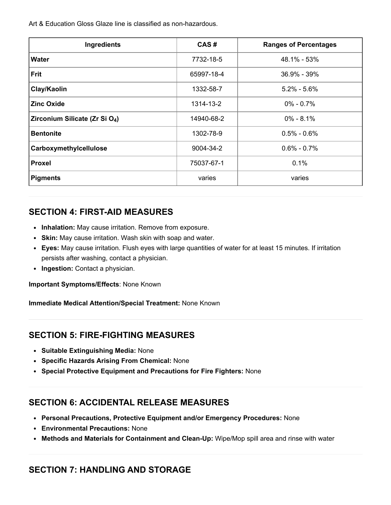Art & Education Gloss Glaze line is classified as non-hazardous.

| Ingredients                                | CAS#       | <b>Ranges of Percentages</b> |
|--------------------------------------------|------------|------------------------------|
| <b>Water</b>                               | 7732-18-5  | 48.1% - 53%                  |
| Frit                                       | 65997-18-4 | 36.9% - 39%                  |
| Clay/Kaolin                                | 1332-58-7  | $5.2\% - 5.6\%$              |
| <b>Zinc Oxide</b>                          | 1314-13-2  | $0\% - 0.7\%$                |
| Zirconium Silicate (Zr Si O <sub>4</sub> ) | 14940-68-2 | $0\% - 8.1\%$                |
| <b>Bentonite</b>                           | 1302-78-9  | $0.5\% - 0.6\%$              |
| Carboxymethylcellulose                     | 9004-34-2  | $0.6\% - 0.7\%$              |
| Proxel                                     | 75037-67-1 | 0.1%                         |
| <b>Pigments</b>                            | varies     | varies                       |

#### SECTION 4: FIRST-AID MEASURES

- Inhalation: May cause irritation. Remove from exposure.
- Skin: May cause irritation. Wash skin with soap and water.
- Eyes: May cause irritation. Flush eyes with large quantities of water for at least 15 minutes. If irritation persists after washing, contact a physician.
- Ingestion: Contact a physician.

Important Symptoms/Effects: None Known

Immediate Medical Attention/Special Treatment: None Known

#### SECTION 5: FIRE-FIGHTING MEASURES

- Suitable Extinguishing Media: None
- Specific Hazards Arising From Chemical: None
- Special Protective Equipment and Precautions for Fire Fighters: None

### SECTION 6: ACCIDENTAL RELEASE MEASURES

- Personal Precautions, Protective Equipment and/or Emergency Procedures: None
- Environmental Precautions: None
- Methods and Materials for Containment and Clean-Up: Wipe/Mop spill area and rinse with water

### SECTION 7: HANDLING AND STORAGE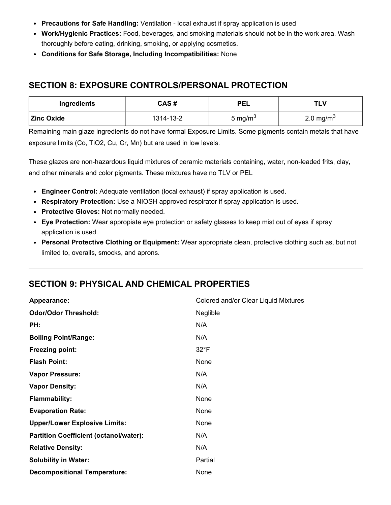- Precautions for Safe Handling: Ventilation local exhaust if spray application is used
- Work/Hygienic Practices: Food, beverages, and smoking materials should not be in the work area. Wash thoroughly before eating, drinking, smoking, or applying cosmetics.
- Conditions for Safe Storage, Including Incompatibilities: None

# SECTION 8: EXPOSURE CONTROLS/PERSONAL PROTECTION

| Ingredients       | CAS#      | <b>PEL</b>          | TLV                   |
|-------------------|-----------|---------------------|-----------------------|
| <b>Zinc Oxide</b> | 1314-13-2 | 5 mg/m <sup>3</sup> | 2.0 mg/m <sup>3</sup> |

Remaining main glaze ingredients do not have formal Exposure Limits. Some pigments contain metals that have exposure limits (Co, TiO2, Cu, Cr, Mn) but are used in low levels.

These glazes are non-hazardous liquid mixtures of ceramic materials containing, water, non-leaded frits, clay, and other minerals and color pigments. These mixtures have no TLV or PEL

- Engineer Control: Adequate ventilation (local exhaust) if spray application is used.
- Respiratory Protection: Use a NIOSH approved respirator if spray application is used.
- Protective Gloves: Not normally needed.
- Eye Protection: Wear appropiate eye protection or safety glasses to keep mist out of eyes if spray application is used.
- Personal Protective Clothing or Equipment: Wear appropriate clean, protective clothing such as, but not limited to, overalls, smocks, and aprons.

# SECTION 9: PHYSICAL AND CHEMICAL PROPERTIES

| Appearance:                                   | Colored and/or Clear Liquid Mixtures |
|-----------------------------------------------|--------------------------------------|
| <b>Odor/Odor Threshold:</b>                   | Neglible                             |
| PH:                                           | N/A                                  |
| <b>Boiling Point/Range:</b>                   | N/A                                  |
| <b>Freezing point:</b>                        | $32^{\circ}F$                        |
| <b>Flash Point:</b>                           | None                                 |
| <b>Vapor Pressure:</b>                        | N/A                                  |
| <b>Vapor Density:</b>                         | N/A                                  |
| <b>Flammability:</b>                          | None                                 |
| <b>Evaporation Rate:</b>                      | None                                 |
| <b>Upper/Lower Explosive Limits:</b>          | None                                 |
| <b>Partition Coefficient (octanol/water):</b> | N/A                                  |
| <b>Relative Density:</b>                      | N/A                                  |
| <b>Solubility in Water:</b>                   | Partial                              |
| <b>Decompositional Temperature:</b>           | None                                 |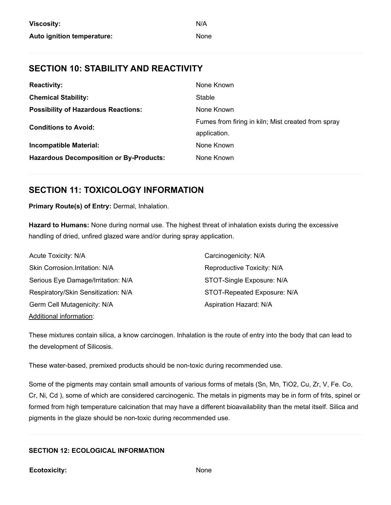### SECTION 10: STABILITY AND REACTIVITY

| <b>Reactivity:</b>                             | None Known                                         |
|------------------------------------------------|----------------------------------------------------|
| <b>Chemical Stability:</b>                     | Stable                                             |
| <b>Possibility of Hazardous Reactions:</b>     | None Known                                         |
| <b>Conditions to Avoid:</b>                    | Fumes from firing in kiln; Mist created from spray |
|                                                | application.                                       |
| <b>Incompatible Material:</b>                  | None Known                                         |
| <b>Hazardous Decomposition or By-Products:</b> | None Known                                         |

### SECTION 11: TOXICOLOGY INFORMATION

Primary Route(s) of Entry: Dermal, Inhalation.

Hazard to Humans: None during normal use. The highest threat of inhalation exists during the excessive handling of dried, unfired glazed ware and/or during spray application.

| Acute Toxicity: N/A                 | Carcinogenicity: N/A        |
|-------------------------------------|-----------------------------|
| Skin Corrosion.Irritation: N/A      | Reproductive Toxicity: N/A  |
| Serious Eye Damage/Irritation: N/A  | STOT-Single Exposure: N/A   |
| Respiratory/Skin Sensitization: N/A | STOT-Repeated Exposure: N/A |
| Germ Cell Mutagenicity: N/A         | Aspiration Hazard: N/A      |
| Additional information:             |                             |

These mixtures contain silica, a know carcinogen. Inhalation is the route of entry into the body that can lead to the development of Silicosis.

These water-based, premixed products should be non-toxic during recommended use.

Some of the pigments may contain small amounts of various forms of metals (Sn, Mn, TiO2, Cu, Zr, V, Fe. Co, Cr, Ni, Cd ), some of which are considered carcinogenic. The metals in pigments may be in form of frits, spinel or formed from high temperature calcination that may have a different bioavailability than the metal itself. Silica and pigments in the glaze should be non-toxic during recommended use.

#### SECTION 12: ECOLOGICAL INFORMATION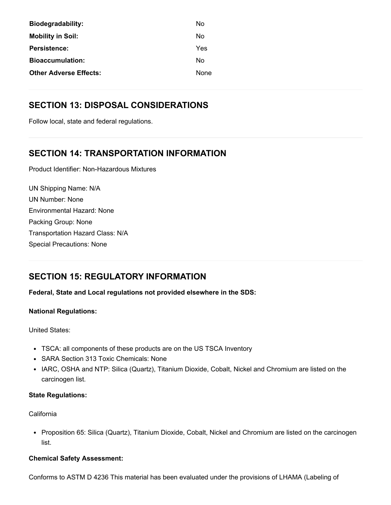| No   |
|------|
| No   |
| Yes  |
| No   |
| None |
|      |

## SECTION 13: DISPOSAL CONSIDERATIONS

Follow local, state and federal regulations.

# SECTION 14: TRANSPORTATION INFORMATION

Product Identifier: Non-Hazardous Mixtures

UN Shipping Name: N/A UN Number: None Environmental Hazard: None Packing Group: None Transportation Hazard Class: N/A Special Precautions: None

# SECTION 15: REGULATORY INFORMATION

Federal, State and Local regulations not provided elsewhere in the SDS:

#### National Regulations:

United States:

- TSCA: all components of these products are on the US TSCA Inventory
- SARA Section 313 Toxic Chemicals: None
- IARC, OSHA and NTP: Silica (Quartz), Titanium Dioxide, Cobalt, Nickel and Chromium are listed on the carcinogen list.

#### State Regulations:

#### California

• Proposition 65: Silica (Quartz), Titanium Dioxide, Cobalt, Nickel and Chromium are listed on the carcinogen list.

#### Chemical Safety Assessment:

Conforms to ASTM D 4236 This material has been evaluated under the provisions of LHAMA (Labeling of